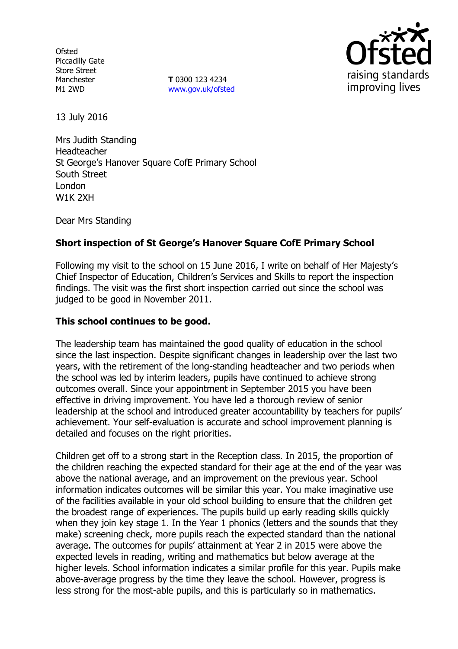**Ofsted** Piccadilly Gate Store Street Manchester M1 2WD

**T** 0300 123 4234 www.gov.uk/ofsted



13 July 2016

Mrs Judith Standing Headteacher St George's Hanover Square CofE Primary School South Street London W1K 2XH

Dear Mrs Standing

# **Short inspection of St George's Hanover Square CofE Primary School**

Following my visit to the school on 15 June 2016, I write on behalf of Her Majesty's Chief Inspector of Education, Children's Services and Skills to report the inspection findings. The visit was the first short inspection carried out since the school was judged to be good in November 2011.

#### **This school continues to be good.**

The leadership team has maintained the good quality of education in the school since the last inspection. Despite significant changes in leadership over the last two years, with the retirement of the long-standing headteacher and two periods when the school was led by interim leaders, pupils have continued to achieve strong outcomes overall. Since your appointment in September 2015 you have been effective in driving improvement. You have led a thorough review of senior leadership at the school and introduced greater accountability by teachers for pupils' achievement. Your self-evaluation is accurate and school improvement planning is detailed and focuses on the right priorities.

Children get off to a strong start in the Reception class. In 2015, the proportion of the children reaching the expected standard for their age at the end of the year was above the national average, and an improvement on the previous year. School information indicates outcomes will be similar this year. You make imaginative use of the facilities available in your old school building to ensure that the children get the broadest range of experiences. The pupils build up early reading skills quickly when they join key stage 1. In the Year 1 phonics (letters and the sounds that they make) screening check, more pupils reach the expected standard than the national average. The outcomes for pupils' attainment at Year 2 in 2015 were above the expected levels in reading, writing and mathematics but below average at the higher levels. School information indicates a similar profile for this year. Pupils make above-average progress by the time they leave the school. However, progress is less strong for the most-able pupils, and this is particularly so in mathematics.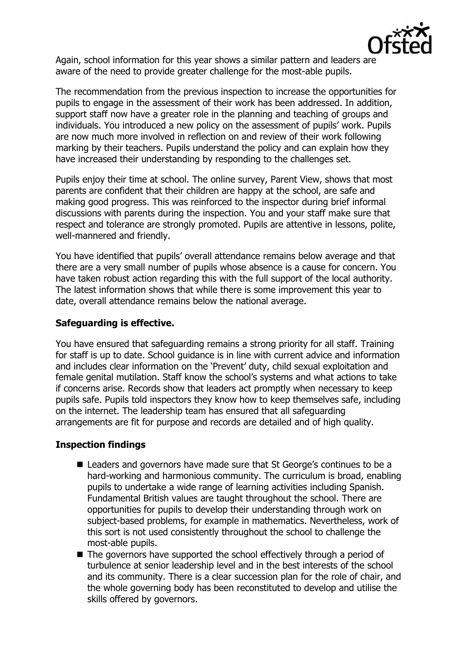

Again, school information for this year shows a similar pattern and leaders are aware of the need to provide greater challenge for the most-able pupils.

The recommendation from the previous inspection to increase the opportunities for pupils to engage in the assessment of their work has been addressed. In addition, support staff now have a greater role in the planning and teaching of groups and individuals. You introduced a new policy on the assessment of pupils' work. Pupils are now much more involved in reflection on and review of their work following marking by their teachers. Pupils understand the policy and can explain how they have increased their understanding by responding to the challenges set.

Pupils enjoy their time at school. The online survey, Parent View, shows that most parents are confident that their children are happy at the school, are safe and making good progress. This was reinforced to the inspector during brief informal discussions with parents during the inspection. You and your staff make sure that respect and tolerance are strongly promoted. Pupils are attentive in lessons, polite, well-mannered and friendly.

You have identified that pupils' overall attendance remains below average and that there are a very small number of pupils whose absence is a cause for concern. You have taken robust action regarding this with the full support of the local authority. The latest information shows that while there is some improvement this year to date, overall attendance remains below the national average.

#### **Safeguarding is effective.**

You have ensured that safeguarding remains a strong priority for all staff. Training for staff is up to date. School guidance is in line with current advice and information and includes clear information on the 'Prevent' duty, child sexual exploitation and female genital mutilation. Staff know the school's systems and what actions to take if concerns arise. Records show that leaders act promptly when necessary to keep pupils safe. Pupils told inspectors they know how to keep themselves safe, including on the internet. The leadership team has ensured that all safeguarding arrangements are fit for purpose and records are detailed and of high quality.

# **Inspection findings**

- Leaders and governors have made sure that St George's continues to be a hard-working and harmonious community. The curriculum is broad, enabling pupils to undertake a wide range of learning activities including Spanish. Fundamental British values are taught throughout the school. There are opportunities for pupils to develop their understanding through work on subject-based problems, for example in mathematics. Nevertheless, work of this sort is not used consistently throughout the school to challenge the most-able pupils.
- The governors have supported the school effectively through a period of turbulence at senior leadership level and in the best interests of the school and its community. There is a clear succession plan for the role of chair, and the whole governing body has been reconstituted to develop and utilise the skills offered by governors.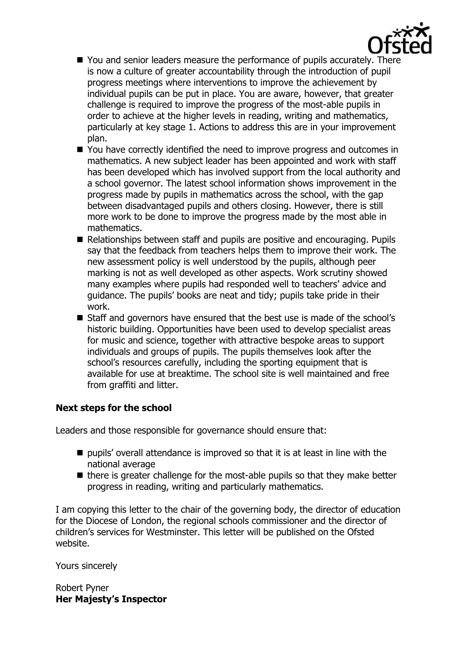

- You and senior leaders measure the performance of pupils accurately. There is now a culture of greater accountability through the introduction of pupil progress meetings where interventions to improve the achievement by individual pupils can be put in place. You are aware, however, that greater challenge is required to improve the progress of the most-able pupils in order to achieve at the higher levels in reading, writing and mathematics, particularly at key stage 1. Actions to address this are in your improvement plan.
- You have correctly identified the need to improve progress and outcomes in mathematics. A new subject leader has been appointed and work with staff has been developed which has involved support from the local authority and a school governor. The latest school information shows improvement in the progress made by pupils in mathematics across the school, with the gap between disadvantaged pupils and others closing. However, there is still more work to be done to improve the progress made by the most able in mathematics.
- Relationships between staff and pupils are positive and encouraging. Pupils say that the feedback from teachers helps them to improve their work. The new assessment policy is well understood by the pupils, although peer marking is not as well developed as other aspects. Work scrutiny showed many examples where pupils had responded well to teachers' advice and guidance. The pupils' books are neat and tidy; pupils take pride in their work.
- **Staff and governors have ensured that the best use is made of the school's** historic building. Opportunities have been used to develop specialist areas for music and science, together with attractive bespoke areas to support individuals and groups of pupils. The pupils themselves look after the school's resources carefully, including the sporting equipment that is available for use at breaktime. The school site is well maintained and free from graffiti and litter.

# **Next steps for the school**

Leaders and those responsible for governance should ensure that:

- $\blacksquare$  pupils' overall attendance is improved so that it is at least in line with the national average
- $\blacksquare$  there is greater challenge for the most-able pupils so that they make better progress in reading, writing and particularly mathematics.

I am copying this letter to the chair of the governing body, the director of education for the Diocese of London, the regional schools commissioner and the director of children's services for Westminster. This letter will be published on the Ofsted website.

Yours sincerely

Robert Pyner **Her Majesty's Inspector**